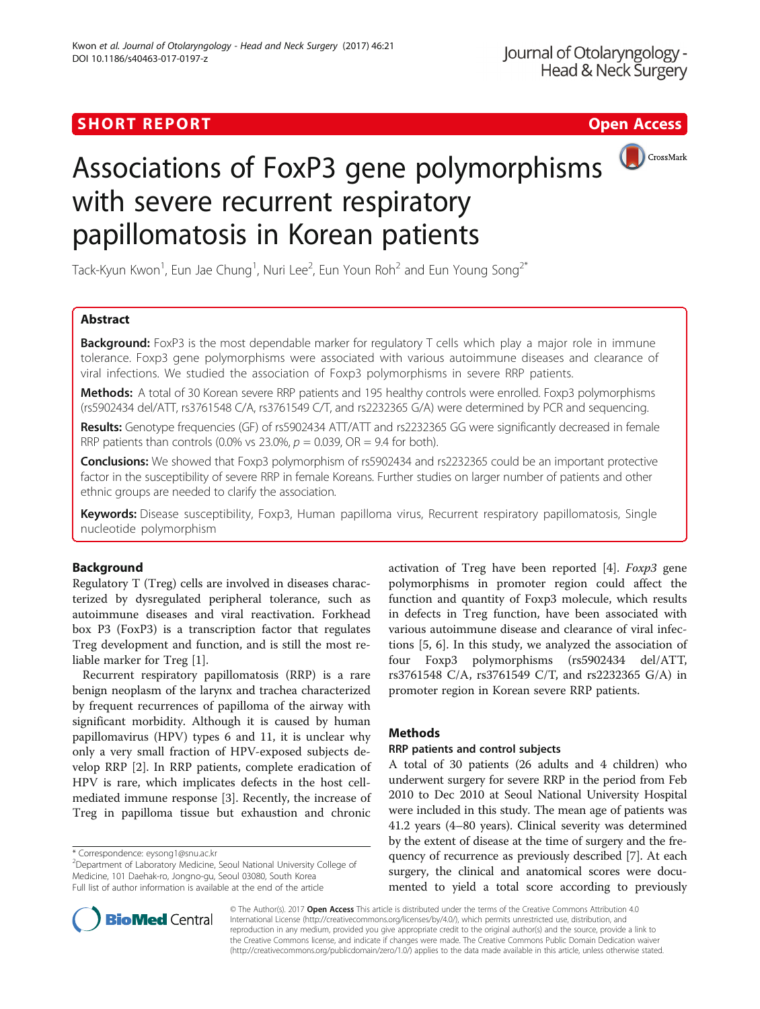## SHORT REPORT AND THE SHORT CONTROL CONTROL CONTROL CONTROL CONTROL CONTROL CONTROL CONTROL CONTROL CONTROL CONTROL CONTROL CONTROL CONTROL CONTROL CONTROL CONTROL CONTROL CONTROL CONTROL CONTROL CONTROL CONTROL CONTROL CON



# Associations of FoxP3 gene polymorphisms with severe recurrent respiratory papillomatosis in Korean patients

Tack-Kyun Kwon<sup>1</sup>, Eun Jae Chung<sup>1</sup>, Nuri Lee<sup>2</sup>, Eun Youn Roh<sup>2</sup> and Eun Young Song<sup>2\*</sup>

## Abstract

**Background:** FoxP3 is the most dependable marker for regulatory T cells which play a major role in immune tolerance. Foxp3 gene polymorphisms were associated with various autoimmune diseases and clearance of viral infections. We studied the association of Foxp3 polymorphisms in severe RRP patients.

Methods: A total of 30 Korean severe RRP patients and 195 healthy controls were enrolled. Foxp3 polymorphisms (rs5902434 del/ATT, rs3761548 C/A, rs3761549 C/T, and rs2232365 G/A) were determined by PCR and sequencing.

Results: Genotype frequencies (GF) of rs5902434 ATT/ATT and rs2232365 GG were significantly decreased in female RRP patients than controls (0.0% vs 23.0%,  $p = 0.039$ , OR = 9.4 for both).

**Conclusions:** We showed that Foxp3 polymorphism of rs5902434 and rs2232365 could be an important protective factor in the susceptibility of severe RRP in female Koreans. Further studies on larger number of patients and other ethnic groups are needed to clarify the association.

Keywords: Disease susceptibility, Foxp3, Human papilloma virus, Recurrent respiratory papillomatosis, Single nucleotide polymorphism

## Background

Regulatory T (Treg) cells are involved in diseases characterized by dysregulated peripheral tolerance, such as autoimmune diseases and viral reactivation. Forkhead box P3 (FoxP3) is a transcription factor that regulates Treg development and function, and is still the most reliable marker for Treg [\[1](#page-3-0)].

Recurrent respiratory papillomatosis (RRP) is a rare benign neoplasm of the larynx and trachea characterized by frequent recurrences of papilloma of the airway with significant morbidity. Although it is caused by human papillomavirus (HPV) types 6 and 11, it is unclear why only a very small fraction of HPV-exposed subjects develop RRP [[2\]](#page-3-0). In RRP patients, complete eradication of HPV is rare, which implicates defects in the host cellmediated immune response [[3\]](#page-3-0). Recently, the increase of Treg in papilloma tissue but exhaustion and chronic

\* Correspondence: [eysong1@snu.ac.kr](mailto:eysong1@snu.ac.kr) <sup>2</sup>

<sup>2</sup>Department of Laboratory Medicine, Seoul National University College of Medicine, 101 Daehak-ro, Jongno-gu, Seoul 03080, South Korea Full list of author information is available at the end of the article

activation of Treg have been reported [[4](#page-3-0)]. Foxp3 gene polymorphisms in promoter region could affect the function and quantity of Foxp3 molecule, which results in defects in Treg function, have been associated with various autoimmune disease and clearance of viral infections [\[5](#page-3-0), [6\]](#page-3-0). In this study, we analyzed the association of four Foxp3 polymorphisms (rs5902434 del/ATT, rs3761548 C/A, rs3761549 C/T, and rs2232365 G/A) in promoter region in Korean severe RRP patients.

## **Methods**

## RRP patients and control subjects

A total of 30 patients (26 adults and 4 children) who underwent surgery for severe RRP in the period from Feb 2010 to Dec 2010 at Seoul National University Hospital were included in this study. The mean age of patients was 41.2 years (4–80 years). Clinical severity was determined by the extent of disease at the time of surgery and the frequency of recurrence as previously described [[7\]](#page-3-0). At each surgery, the clinical and anatomical scores were documented to yield a total score according to previously



© The Author(s). 2017 **Open Access** This article is distributed under the terms of the Creative Commons Attribution 4.0 International License [\(http://creativecommons.org/licenses/by/4.0/](http://creativecommons.org/licenses/by/4.0/)), which permits unrestricted use, distribution, and reproduction in any medium, provided you give appropriate credit to the original author(s) and the source, provide a link to the Creative Commons license, and indicate if changes were made. The Creative Commons Public Domain Dedication waiver [\(http://creativecommons.org/publicdomain/zero/1.0/](http://creativecommons.org/publicdomain/zero/1.0/)) applies to the data made available in this article, unless otherwise stated.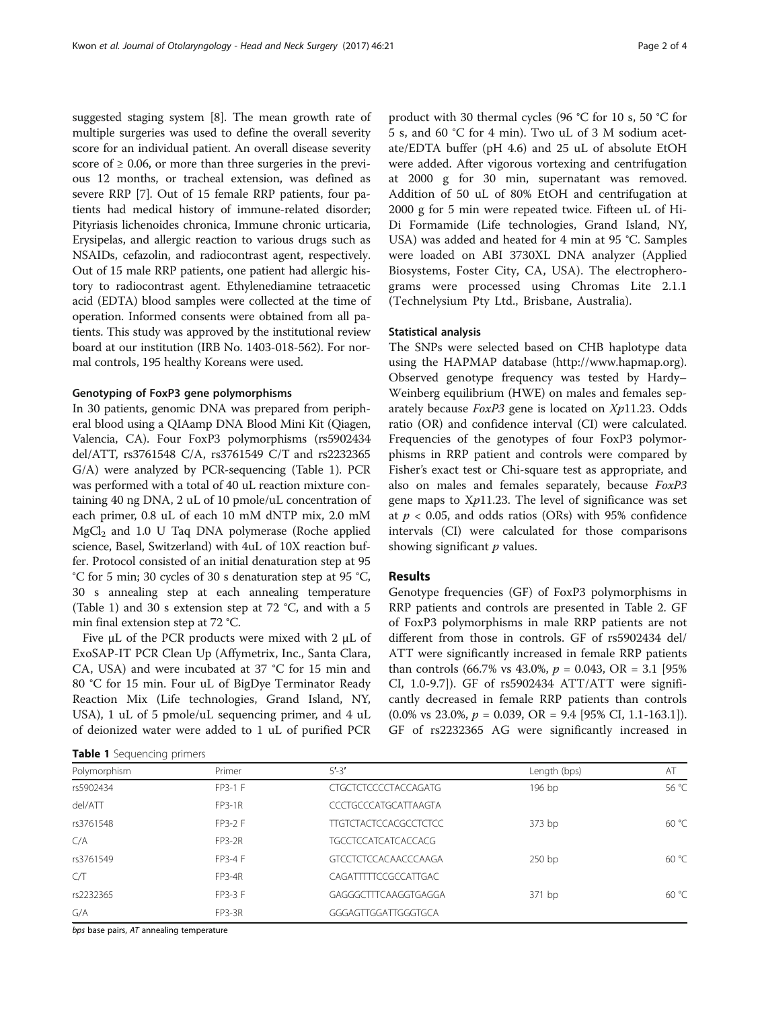suggested staging system [[8\]](#page-3-0). The mean growth rate of multiple surgeries was used to define the overall severity score for an individual patient. An overall disease severity score of  $\geq 0.06$ , or more than three surgeries in the previous 12 months, or tracheal extension, was defined as severe RRP [[7](#page-3-0)]. Out of 15 female RRP patients, four patients had medical history of immune-related disorder; Pityriasis lichenoides chronica, Immune chronic urticaria, Erysipelas, and allergic reaction to various drugs such as NSAIDs, cefazolin, and radiocontrast agent, respectively. Out of 15 male RRP patients, one patient had allergic history to radiocontrast agent. Ethylenediamine tetraacetic acid (EDTA) blood samples were collected at the time of operation. Informed consents were obtained from all patients. This study was approved by the institutional review board at our institution (IRB No. 1403-018-562). For normal controls, 195 healthy Koreans were used.

#### Genotyping of FoxP3 gene polymorphisms

In 30 patients, genomic DNA was prepared from peripheral blood using a QIAamp DNA Blood Mini Kit (Qiagen, Valencia, CA). Four FoxP3 polymorphisms (rs5902434 del/ATT, rs3761548 C/A, rs3761549 C/T and rs2232365 G/A) were analyzed by PCR-sequencing (Table 1). PCR was performed with a total of 40 uL reaction mixture containing 40 ng DNA, 2 uL of 10 pmole/uL concentration of each primer, 0.8 uL of each 10 mM dNTP mix, 2.0 mM  $MgCl<sub>2</sub>$  and 1.0 U Taq DNA polymerase (Roche applied science, Basel, Switzerland) with 4uL of 10X reaction buffer. Protocol consisted of an initial denaturation step at 95 °C for 5 min; 30 cycles of 30 s denaturation step at 95 °C, 30 s annealing step at each annealing temperature (Table 1) and 30 s extension step at 72 °C, and with a 5 min final extension step at 72 °C.

Five μL of the PCR products were mixed with 2 μL of ExoSAP-IT PCR Clean Up (Affymetrix, Inc., Santa Clara, CA, USA) and were incubated at 37 °C for 15 min and 80 °C for 15 min. Four uL of BigDye Terminator Ready Reaction Mix (Life technologies, Grand Island, NY, USA), 1 uL of 5 pmole/uL sequencing primer, and 4 uL of deionized water were added to 1 uL of purified PCR

|  |  |  | Table 1 Sequencing primers |  |
|--|--|--|----------------------------|--|
|--|--|--|----------------------------|--|

product with 30 thermal cycles (96 °C for 10 s, 50 °C for 5 s, and 60 °C for 4 min). Two uL of 3 M sodium acetate/EDTA buffer (pH 4.6) and 25 uL of absolute EtOH were added. After vigorous vortexing and centrifugation at 2000 g for 30 min, supernatant was removed. Addition of 50 uL of 80% EtOH and centrifugation at 2000 g for 5 min were repeated twice. Fifteen uL of Hi-Di Formamide (Life technologies, Grand Island, NY, USA) was added and heated for 4 min at 95 °C. Samples were loaded on ABI 3730XL DNA analyzer (Applied Biosystems, Foster City, CA, USA). The electropherograms were processed using Chromas Lite 2.1.1 (Technelysium Pty Ltd., Brisbane, Australia).

#### Statistical analysis

The SNPs were selected based on CHB haplotype data using the HAPMAP database ([http://www.hapmap.org](http://www.hapmap.org/)). Observed genotype frequency was tested by Hardy– Weinberg equilibrium (HWE) on males and females separately because  $FoxP3$  gene is located on  $Xp11.23$ . Odds ratio (OR) and confidence interval (CI) were calculated. Frequencies of the genotypes of four FoxP3 polymorphisms in RRP patient and controls were compared by Fisher's exact test or Chi-square test as appropriate, and also on males and females separately, because FoxP3 gene maps to  $Xp11.23$ . The level of significance was set at  $p < 0.05$ , and odds ratios (ORs) with 95% confidence intervals (CI) were calculated for those comparisons showing significant  $p$  values.

## Results

Genotype frequencies (GF) of FoxP3 polymorphisms in RRP patients and controls are presented in Table [2](#page-2-0). GF of FoxP3 polymorphisms in male RRP patients are not different from those in controls. GF of rs5902434 del/ ATT were significantly increased in female RRP patients than controls (66.7% vs 43.0%,  $p = 0.043$ , OR = 3.1 [95%] CI, 1.0-9.7]). GF of rs5902434 ATT/ATT were significantly decreased in female RRP patients than controls  $(0.0\% \text{ vs } 23.0\%, p = 0.039, \text{ OR } = 9.4 \text{ [95\% CI, 1.1-163.1]).}$ GF of rs2232365 AG were significantly increased in

| Polymorphism | Primer         | $5' - 3'$                              | Length (bps) | AT    |
|--------------|----------------|----------------------------------------|--------------|-------|
| rs5902434    | FP3-1 F        | <b>CTGCTCTCCCCTACCAGATG</b>            | 196 bp       | 56 °C |
| del/ATT      | <b>FP3-1R</b>  | CCCTGCCCATGCATTAAGTA                   |              |       |
| rs3761548    | FP3-2 F        | <b>TTGTCTACTCCACGCCTCTCC</b><br>373 bp |              | 60 °C |
| C/A          | <b>FP3-2R</b>  | <b>TGCCTCCATCATCACCACG</b>             |              |       |
| rs3761549    | <b>FP3-4 F</b> | <b>GTCCTCTCCACAACCCAAGA</b>            | $250$ bp     | 60 °C |
| C/T          | <b>FP3-4R</b>  | CAGATTTTCCGCCATTGAC                    |              |       |
| rs2232365    | FP3-3 F        | GAGGGCTTTCAAGGTGAGGA<br>371 bp         |              | 60 °C |
| G/A          | <b>FP3-3R</b>  | GGGAGTTGGATTGGGTGCA                    |              |       |
|              |                |                                        |              |       |

bps base pairs, AT annealing temperature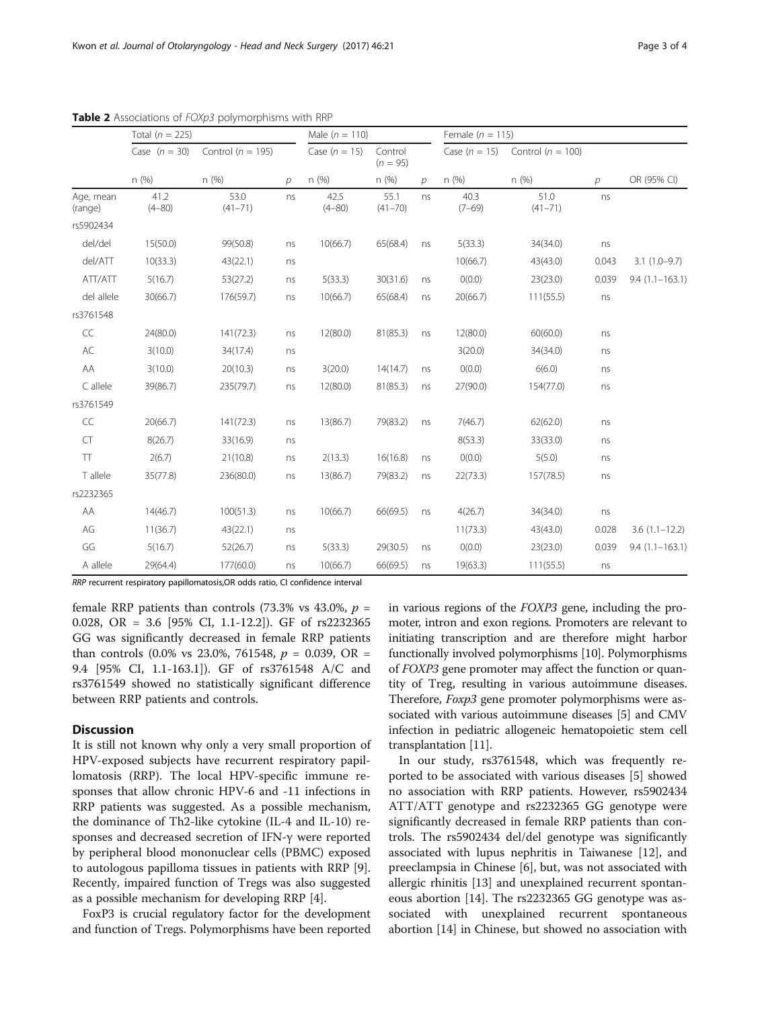|                      | Total ( $n = 225$ ) |                       |               | Male $(n = 110)$   |                       |    | Female ( $n = 115$ ) |                       |       |                    |
|----------------------|---------------------|-----------------------|---------------|--------------------|-----------------------|----|----------------------|-----------------------|-------|--------------------|
|                      | Case $(n = 30)$     | Control ( $n = 195$ ) |               | Case $(n = 15)$    | Control<br>$(n = 95)$ |    | Case $(n = 15)$      | Control ( $n = 100$ ) |       |                    |
|                      | n(%)                | n(%)                  | $\mathcal{P}$ | n(%)               | n(%)                  | D  | n(%)                 | n(%)                  | D     | OR (95% CI)        |
| Age, mean<br>(range) | 41.2<br>$(4 - 80)$  | 53.0<br>$(41 - 71)$   | ns            | 42.5<br>$(4 - 80)$ | 55.1<br>$(41 - 70)$   | ns | 40.3<br>$(7-69)$     | 51.0<br>$(41 - 71)$   | ns    |                    |
| rs5902434            |                     |                       |               |                    |                       |    |                      |                       |       |                    |
| del/del              | 15(50.0)            | 99(50.8)              | ns            | 10(66.7)           | 65(68.4)              | ns | 5(33.3)              | 34(34.0)              | ns    |                    |
| del/ATT              | 10(33.3)            | 43(22.1)              | ns            |                    |                       |    | 10(66.7)             | 43(43.0)              | 0.043 | $3.1(1.0-9.7)$     |
| ATT/ATT              | 5(16.7)             | 53(27.2)              | ns            | 5(33.3)            | 30(31.6)              | ns | O(0.0)               | 23(23.0)              | 0.039 | $9.4(1.1 - 163.1)$ |
| del allele           | 30(66.7)            | 176(59.7)             | ns            | 10(66.7)           | 65(68.4)              | ns | 20(66.7)             | 111(55.5)             | ns    |                    |
| rs3761548            |                     |                       |               |                    |                       |    |                      |                       |       |                    |
| $\subset \subset$    | 24(80.0)            | 141(72.3)             | ns            | 12(80.0)           | 81(85.3)              | ns | 12(80.0)             | 60(60.0)              | ns    |                    |
| $\mathsf{AC}$        | 3(10.0)             | 34(17.4)              | ns            |                    |                       |    | 3(20.0)              | 34(34.0)              | ns    |                    |
| AA                   | 3(10.0)             | 20(10.3)              | ns            | 3(20.0)            | 14(14.7)              | ns | O(0.0)               | 6(6.0)                | ns    |                    |
| C allele             | 39(86.7)            | 235(79.7)             | ns            | 12(80.0)           | 81(85.3)              | ns | 27(90.0)             | 154(77.0)             | ns    |                    |
| rs3761549            |                     |                       |               |                    |                       |    |                      |                       |       |                    |
| CC                   | 20(66.7)            | 141(72.3)             | ns            | 13(86.7)           | 79(83.2)              | ns | 7(46.7)              | 62(62.0)              | ns    |                    |
| CT                   | 8(26.7)             | 33(16.9)              | ns            |                    |                       |    | 8(53.3)              | 33(33.0)              | ns    |                    |
| TT                   | 2(6.7)              | 21(10.8)              | ns            | 2(13.3)            | 16(16.8)              | ns | O(0.0)               | 5(5.0)                | ns    |                    |
| T allele             | 35(77.8)            | 236(80.0)             | ns            | 13(86.7)           | 79(83.2)              | ns | 22(73.3)             | 157(78.5)             | ns    |                    |
| rs2232365            |                     |                       |               |                    |                       |    |                      |                       |       |                    |
| AA                   | 14(46.7)            | 100(51.3)             | ns            | 10(66.7)           | 66(69.5)              | ns | 4(26.7)              | 34(34.0)              | ns    |                    |
| AG                   | 11(36.7)            | 43(22.1)              | ns            |                    |                       |    | 11(73.3)             | 43(43.0)              | 0.028 | $3.6(1.1 - 12.2)$  |
| GG                   | 5(16.7)             | 52(26.7)              | ns            | 5(33.3)            | 29(30.5)              | ns | O(0.0)               | 23(23.0)              | 0.039 | $9.4(1.1 - 163.1)$ |
| A allele             | 29(64.4)            | 177(60.0)             | ns            | 10(66.7)           | 66(69.5)              | ns | 19(63.3)             | 111(55.5)             | ns    |                    |

<span id="page-2-0"></span>Table 2 Associations of FOXp3 polymorphisms with RRP

RRP recurrent respiratory papillomatosis,OR odds ratio, CI confidence interval

female RRP patients than controls (73.3% vs 43.0%,  $p =$ 0.028, OR = 3.6 [95% CI, 1.1-12.2]). GF of rs2232365 GG was significantly decreased in female RRP patients than controls (0.0% vs 23.0%, 761548,  $p = 0.039$ , OR = 9.4 [95% CI, 1.1-163.1]). GF of rs3761548 A/C and rs3761549 showed no statistically significant difference between RRP patients and controls.

### **Discussion**

It is still not known why only a very small proportion of HPV-exposed subjects have recurrent respiratory papillomatosis (RRP). The local HPV-specific immune responses that allow chronic HPV-6 and -11 infections in RRP patients was suggested. As a possible mechanism, the dominance of Th2-like cytokine (IL-4 and IL-10) responses and decreased secretion of IFN-γ were reported by peripheral blood mononuclear cells (PBMC) exposed to autologous papilloma tissues in patients with RRP [\[9](#page-3-0)]. Recently, impaired function of Tregs was also suggested as a possible mechanism for developing RRP [[4\]](#page-3-0).

FoxP3 is crucial regulatory factor for the development and function of Tregs. Polymorphisms have been reported in various regions of the FOXP3 gene, including the promoter, intron and exon regions. Promoters are relevant to initiating transcription and are therefore might harbor functionally involved polymorphisms [[10](#page-3-0)]. Polymorphisms of FOXP3 gene promoter may affect the function or quantity of Treg, resulting in various autoimmune diseases. Therefore, *Foxp3* gene promoter polymorphisms were associated with various autoimmune diseases [[5](#page-3-0)] and CMV infection in pediatric allogeneic hematopoietic stem cell transplantation [\[11\]](#page-3-0).

In our study, rs3761548, which was frequently reported to be associated with various diseases [[5](#page-3-0)] showed no association with RRP patients. However, rs5902434 ATT/ATT genotype and rs2232365 GG genotype were significantly decreased in female RRP patients than controls. The rs5902434 del/del genotype was significantly associated with lupus nephritis in Taiwanese [[12](#page-3-0)], and preeclampsia in Chinese [\[6](#page-3-0)], but, was not associated with allergic rhinitis [[13\]](#page-3-0) and unexplained recurrent spontaneous abortion [[14](#page-3-0)]. The rs2232365 GG genotype was associated with unexplained recurrent spontaneous abortion [\[14](#page-3-0)] in Chinese, but showed no association with